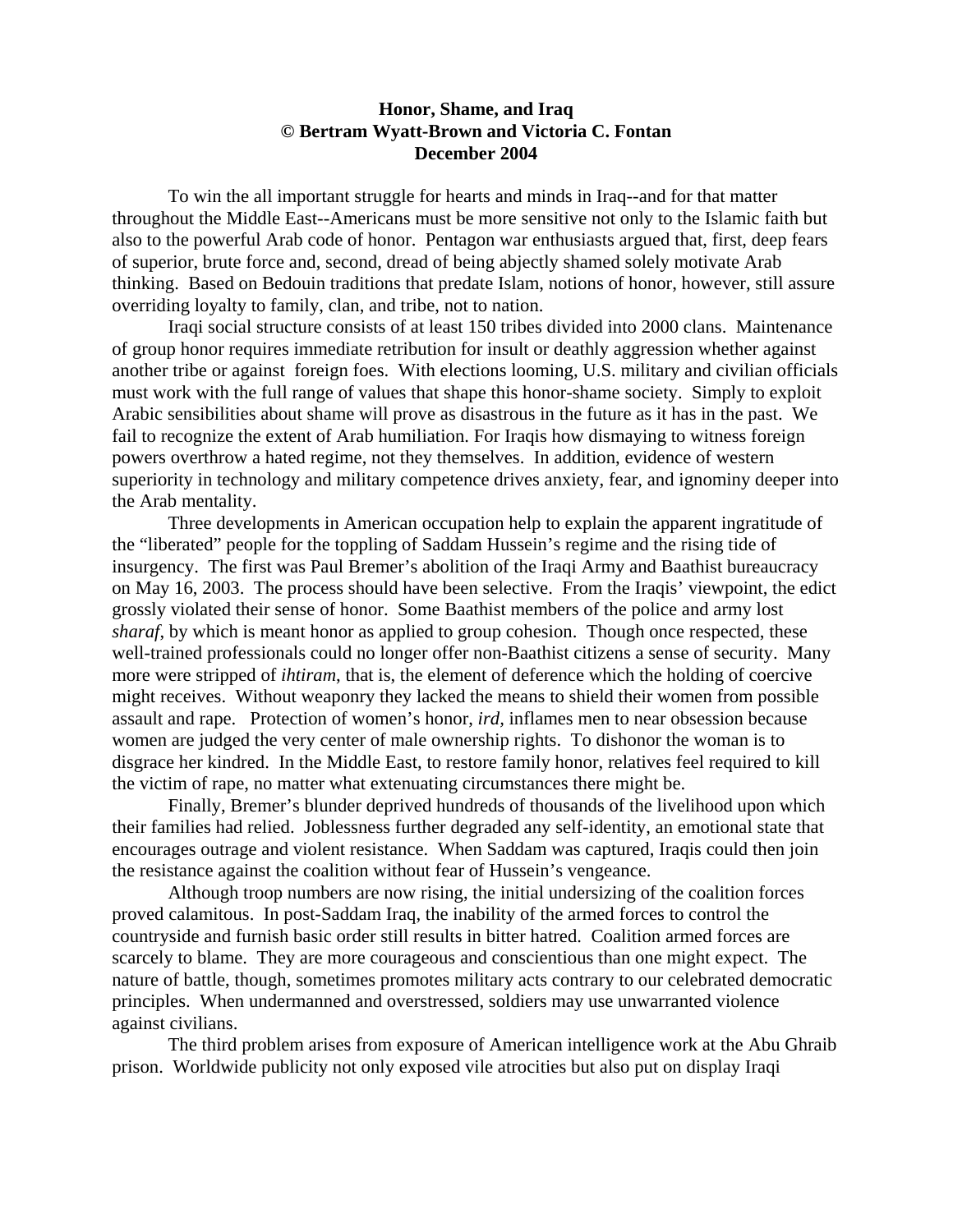## **Honor, Shame, and Iraq © Bertram Wyatt-Brown and Victoria C. Fontan December 2004**

 To win the all important struggle for hearts and minds in Iraq--and for that matter throughout the Middle East--Americans must be more sensitive not only to the Islamic faith but also to the powerful Arab code of honor. Pentagon war enthusiasts argued that, first, deep fears of superior, brute force and, second, dread of being abjectly shamed solely motivate Arab thinking. Based on Bedouin traditions that predate Islam, notions of honor, however, still assure overriding loyalty to family, clan, and tribe, not to nation.

 Iraqi social structure consists of at least 150 tribes divided into 2000 clans. Maintenance of group honor requires immediate retribution for insult or deathly aggression whether against another tribe or against foreign foes. With elections looming, U.S. military and civilian officials must work with the full range of values that shape this honor-shame society. Simply to exploit Arabic sensibilities about shame will prove as disastrous in the future as it has in the past. We fail to recognize the extent of Arab humiliation. For Iraqis how dismaying to witness foreign powers overthrow a hated regime, not they themselves. In addition, evidence of western superiority in technology and military competence drives anxiety, fear, and ignominy deeper into the Arab mentality.

 Three developments in American occupation help to explain the apparent ingratitude of the "liberated" people for the toppling of Saddam Hussein's regime and the rising tide of insurgency. The first was Paul Bremer's abolition of the Iraqi Army and Baathist bureaucracy on May 16, 2003. The process should have been selective. From the Iraqis' viewpoint, the edict grossly violated their sense of honor. Some Baathist members of the police and army lost *sharaf*, by which is meant honor as applied to group cohesion. Though once respected, these well-trained professionals could no longer offer non-Baathist citizens a sense of security. Many more were stripped of *ihtiram*, that is, the element of deference which the holding of coercive might receives. Without weaponry they lacked the means to shield their women from possible assault and rape. Protection of women's honor, *ird,* inflames men to near obsession because women are judged the very center of male ownership rights. To dishonor the woman is to disgrace her kindred. In the Middle East, to restore family honor, relatives feel required to kill the victim of rape, no matter what extenuating circumstances there might be.

 Finally, Bremer's blunder deprived hundreds of thousands of the livelihood upon which their families had relied. Joblessness further degraded any self-identity, an emotional state that encourages outrage and violent resistance. When Saddam was captured, Iraqis could then join the resistance against the coalition without fear of Hussein's vengeance.

 Although troop numbers are now rising, the initial undersizing of the coalition forces proved calamitous. In post-Saddam Iraq, the inability of the armed forces to control the countryside and furnish basic order still results in bitter hatred. Coalition armed forces are scarcely to blame. They are more courageous and conscientious than one might expect. The nature of battle, though, sometimes promotes military acts contrary to our celebrated democratic principles. When undermanned and overstressed, soldiers may use unwarranted violence against civilians.

 The third problem arises from exposure of American intelligence work at the Abu Ghraib prison. Worldwide publicity not only exposed vile atrocities but also put on display Iraqi